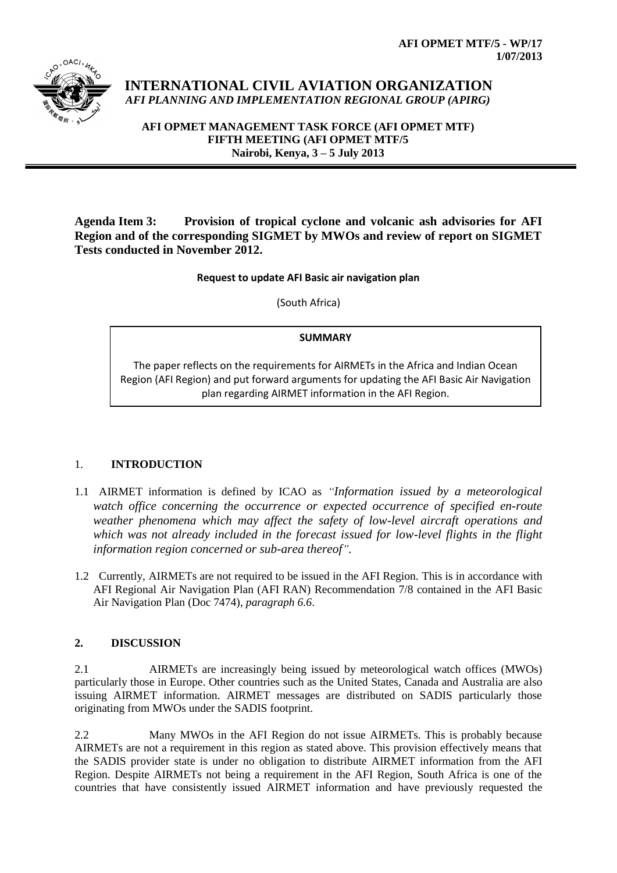

# **INTERNATIONAL CIVIL AVIATION ORGANIZATION** *AFI PLANNING AND IMPLEMENTATION REGIONAL GROUP (APIRG)*

**AFI OPMET MANAGEMENT TASK FORCE (AFI OPMET MTF) FIFTH MEETING (AFI OPMET MTF/5 Nairobi, Kenya, 3 – 5 July 2013**

**Agenda Item 3: Provision of tropical cyclone and volcanic ash advisories for AFI Region and of the corresponding SIGMET by MWOs and review of report on SIGMET Tests conducted in November 2012.**

### **Request to update AFI Basic air navigation plan**

(South Africa)

# **SUMMARY**

The paper reflects on the requirements for AIRMETs in the Africa and Indian Ocean Region (AFI Region) and put forward arguments for updating the AFI Basic Air Navigation plan regarding AIRMET information in the AFI Region.

# 1. **INTRODUCTION**

- 1.1 AIRMET information is defined by ICAO as *"Information issued by a meteorological watch office concerning the occurrence or expected occurrence of specified en-route weather phenomena which may affect the safety of low-level aircraft operations and which was not already included in the forecast issued for low-level flights in the flight information region concerned or sub-area thereof".*
- 1.2 Currently, AIRMETs are not required to be issued in the AFI Region. This is in accordance with AFI Regional Air Navigation Plan (AFI RAN) Recommendation 7/8 contained in the AFI Basic Air Navigation Plan (Doc 7474), *paragraph 6.6*.

# **2. DISCUSSION**

2.1 AIRMETs are increasingly being issued by meteorological watch offices (MWOs) particularly those in Europe. Other countries such as the United States, Canada and Australia are also issuing AIRMET information. AIRMET messages are distributed on SADIS particularly those originating from MWOs under the SADIS footprint.

2.2 Many MWOs in the AFI Region do not issue AIRMETs. This is probably because AIRMETs are not a requirement in this region as stated above. This provision effectively means that the SADIS provider state is under no obligation to distribute AIRMET information from the AFI Region. Despite AIRMETs not being a requirement in the AFI Region, South Africa is one of the countries that have consistently issued AIRMET information and have previously requested the